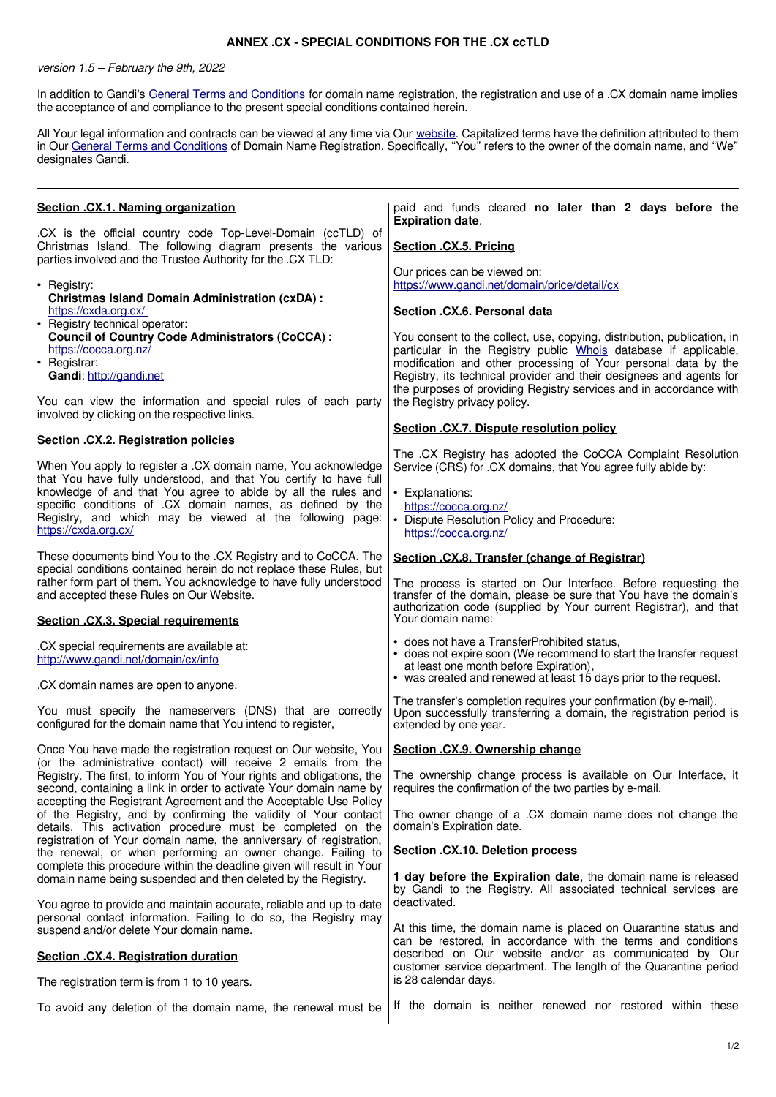## **ANNEX .CX - SPECIAL CONDITIONS FOR THE .CX ccTLD**

## version 1.5 – February the 9th, 2022

In addition to Gandi's [General Terms and Conditions](http://www.gandi.net/contracts) for domain name registration, the registration and use of a .CX domain name implies the acceptance of and compliance to the present special conditions contained herein.

All Your legal information and contracts can be viewed at any time via Our [website.](http://www.gandi.net/) Capitalized terms have the definition attributed to them in Our [General Terms and Conditions](http://www.gandi.net/contracts) of Domain Name Registration. Specifically, "You" refers to the owner of the domain name, and "We" designates Gandi.

| Section .CX.1. Naming organization                                                                                                                                                                                                                                              | paid and funds cleared no later than 2 days before the<br><b>Expiration date.</b>                                                                                                                                                                                                                                                                         |
|---------------------------------------------------------------------------------------------------------------------------------------------------------------------------------------------------------------------------------------------------------------------------------|-----------------------------------------------------------------------------------------------------------------------------------------------------------------------------------------------------------------------------------------------------------------------------------------------------------------------------------------------------------|
| .CX is the official country code Top-Level-Domain (ccTLD) of<br>Christmas Island. The following diagram presents the various<br>parties involved and the Trustee Authority for the .CX TLD:                                                                                     | Section .CX.5. Pricing                                                                                                                                                                                                                                                                                                                                    |
| • Registry:<br><b>Christmas Island Domain Administration (cxDA):</b>                                                                                                                                                                                                            | Our prices can be viewed on:<br>https://www.gandi.net/domain/price/detail/cx                                                                                                                                                                                                                                                                              |
| https://cxda.org.cx/<br>• Registry technical operator:                                                                                                                                                                                                                          | Section .CX.6. Personal data                                                                                                                                                                                                                                                                                                                              |
| <b>Council of Country Code Administrators (CoCCA):</b><br>https://cocca.org.nz/<br>• Registrar:<br>Gandi: http://gandi.net                                                                                                                                                      | You consent to the collect, use, copying, distribution, publication, in<br>particular in the Registry public Whois database if applicable,<br>modification and other processing of Your personal data by the<br>Registry, its technical provider and their designees and agents for<br>the purposes of providing Registry services and in accordance with |
| You can view the information and special rules of each party<br>involved by clicking on the respective links.                                                                                                                                                                   | the Registry privacy policy.                                                                                                                                                                                                                                                                                                                              |
| Section .CX.2. Registration policies                                                                                                                                                                                                                                            | Section . CX.7. Dispute resolution policy                                                                                                                                                                                                                                                                                                                 |
| When You apply to register a .CX domain name, You acknowledge<br>that You have fully understood, and that You certify to have full                                                                                                                                              | The .CX Registry has adopted the CoCCA Complaint Resolution<br>Service (CRS) for .CX domains, that You agree fully abide by:                                                                                                                                                                                                                              |
| knowledge of and that You agree to abide by all the rules and<br>specific conditions of CX domain names, as defined by the<br>Registry, and which may be viewed at the following page:<br>https://cxda.org.cx/                                                                  | • Explanations:<br>https://cocca.org.nz/<br>• Dispute Resolution Policy and Procedure:<br>https://cocca.org.nz/                                                                                                                                                                                                                                           |
| These documents bind You to the .CX Registry and to CoCCA. The<br>special conditions contained herein do not replace these Rules, but                                                                                                                                           | Section .CX.8. Transfer (change of Registrar)                                                                                                                                                                                                                                                                                                             |
| rather form part of them. You acknowledge to have fully understood<br>and accepted these Rules on Our Website.                                                                                                                                                                  | The process is started on Our Interface. Before requesting the<br>transfer of the domain, please be sure that You have the domain's<br>authorization code (supplied by Your current Registrar), and that                                                                                                                                                  |
|                                                                                                                                                                                                                                                                                 |                                                                                                                                                                                                                                                                                                                                                           |
| Section .CX.3. Special requirements                                                                                                                                                                                                                                             | Your domain name:                                                                                                                                                                                                                                                                                                                                         |
| .CX special requirements are available at:<br>http://www.gandi.net/domain/cx/info                                                                                                                                                                                               | • does not have a TransferProhibited status,<br>• does not expire soon (We recommend to start the transfer request<br>at least one month before Expiration),                                                                                                                                                                                              |
| .CX domain names are open to anyone.                                                                                                                                                                                                                                            | • was created and renewed at least 15 days prior to the request.                                                                                                                                                                                                                                                                                          |
| You must specify the nameservers (DNS) that are correctly<br>configured for the domain name that You intend to register,                                                                                                                                                        | The transfer's completion requires your confirmation (by e-mail).<br>Upon successfully transferring a domain, the registration period is<br>extended by one year.                                                                                                                                                                                         |
| Once You have made the registration request on Our website, You                                                                                                                                                                                                                 | Section .CX.9. Ownership change                                                                                                                                                                                                                                                                                                                           |
| (or the administrative contact) will receive 2 emails from the<br>Registry. The first, to inform You of Your rights and obligations, the   The ownership change process is available on Our Interface, it<br>second, containing a link in order to activate Your domain name by | requires the confirmation of the two parties by e-mail.                                                                                                                                                                                                                                                                                                   |
| accepting the Registrant Agreement and the Acceptable Use Policy<br>of the Registry, and by confirming the validity of Your contact<br>details. This activation procedure must be completed on the                                                                              | The owner change of a .CX domain name does not change the<br>domain's Expiration date.                                                                                                                                                                                                                                                                    |
| registration of Your domain name, the anniversary of registration,<br>the renewal, or when performing an owner change. Failing to                                                                                                                                               | Section .CX.10. Deletion process                                                                                                                                                                                                                                                                                                                          |
| complete this procedure within the deadline given will result in Your<br>domain name being suspended and then deleted by the Registry.                                                                                                                                          | 1 day before the Expiration date, the domain name is released                                                                                                                                                                                                                                                                                             |
| You agree to provide and maintain accurate, reliable and up-to-date<br>personal contact information. Failing to do so, the Registry may                                                                                                                                         | by Gandi to the Registry. All associated technical services are<br>deactivated.                                                                                                                                                                                                                                                                           |
| suspend and/or delete Your domain name.<br>Section .CX.4. Registration duration                                                                                                                                                                                                 | At this time, the domain name is placed on Quarantine status and<br>can be restored, in accordance with the terms and conditions<br>described on Our website and/or as communicated by Our                                                                                                                                                                |
| The registration term is from 1 to 10 years.                                                                                                                                                                                                                                    | customer service department. The length of the Quarantine period<br>is 28 calendar days.                                                                                                                                                                                                                                                                  |